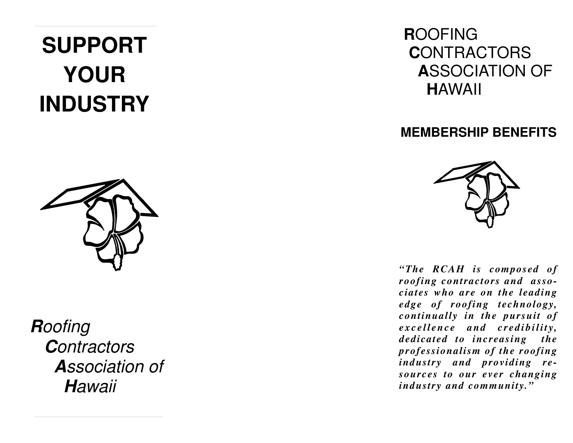# **SUPPORTYOURINDUSTRY**



**R**oofing **C**ontractors **A**ssociation of **H**awaii

## **R**OOFING **C**ONTRACTORS **A**SSOCIATION OF **H**AWAII

## **MEMBERSHIP BENEFITS**



*"The RCAH is composed of roofing contractors and associates who are on the leading edge of roofing technology, continually in the pursuit of* excellence and credibility, *dedicated to increasing the professionalism of the roofing industry and providing resources to our ever changing industry and community."*